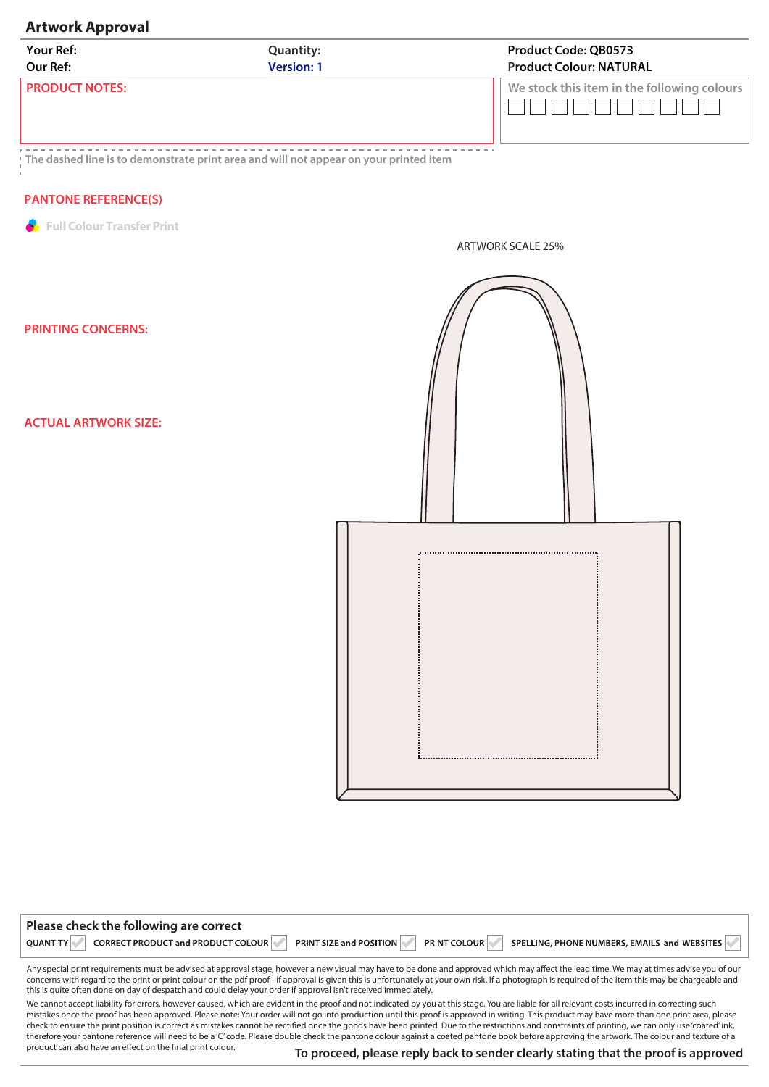## **Artwork Approval**

| <b>Your Ref:</b>      | <b>Quantity:</b>  | <b>Product Code: QB0573</b>                 |
|-----------------------|-------------------|---------------------------------------------|
| Our Ref:              | <b>Version: 1</b> | <b>Product Colour: NATURAL</b>              |
| <b>PRODUCT NOTES:</b> |                   | We stock this item in the following colours |

<u> 222222</u> . <u>. . . . . . . . . . . . . . . . . .</u> . ------------------**The dashed line is to demonstrate print area and will not appear on your printed item**

## **PANTONE REFERENCE(S)**

**Full Colour Transfer Print** 

ARTWORK SCALE 25%

**PRINTING CONCERNS:** 

**ACTUAL ARTWORK SIZE:** 

product can also have an effect on the final print colour.

Please check the following are correct



| CORRECT PRODUCT and PRODUCT COLOUR<br>SPELLING, PHONE NUMBERS, EMAILS and WEBSITES<br>QUANTITY<br><b>PRINT COLOUR</b><br><b>PRINT SIZE and POSITION</b>                                                                                                                                                                                                                                           |
|---------------------------------------------------------------------------------------------------------------------------------------------------------------------------------------------------------------------------------------------------------------------------------------------------------------------------------------------------------------------------------------------------|
| Any special print requirements must be advised at approval stage, however a new visual may have to be done and approved which may affect the lead time. We may at times advise you of our<br>concerns with regard to the print or print colour on the pdf proof - if approval is given this is unfortunately at your own risk. If a photograph is required of the item this may be chargeable and |

We cannot accept liability for errors, however caused, which are evident in the proof and not indicated by you at this stage. You are liable for all relevant costs incurred in correcting such mistakes once the proof has been approved. Please note: Your order will not go into production until this proof is approved in writing. This product may have more than one print area, please check to ensure the print position is correct as mistakes cannot be rectied once the goods have been printed. Due to the restrictions and constraints of printing, we can only use 'coated' ink, therefore your pantone reference will need to be a 'C' code. Please double check the pantone colour against a coated pantone book before approving the artwork. The colour and texture of a this is quite often done on day of despatch and could delay your order if approval isn't received immediately.